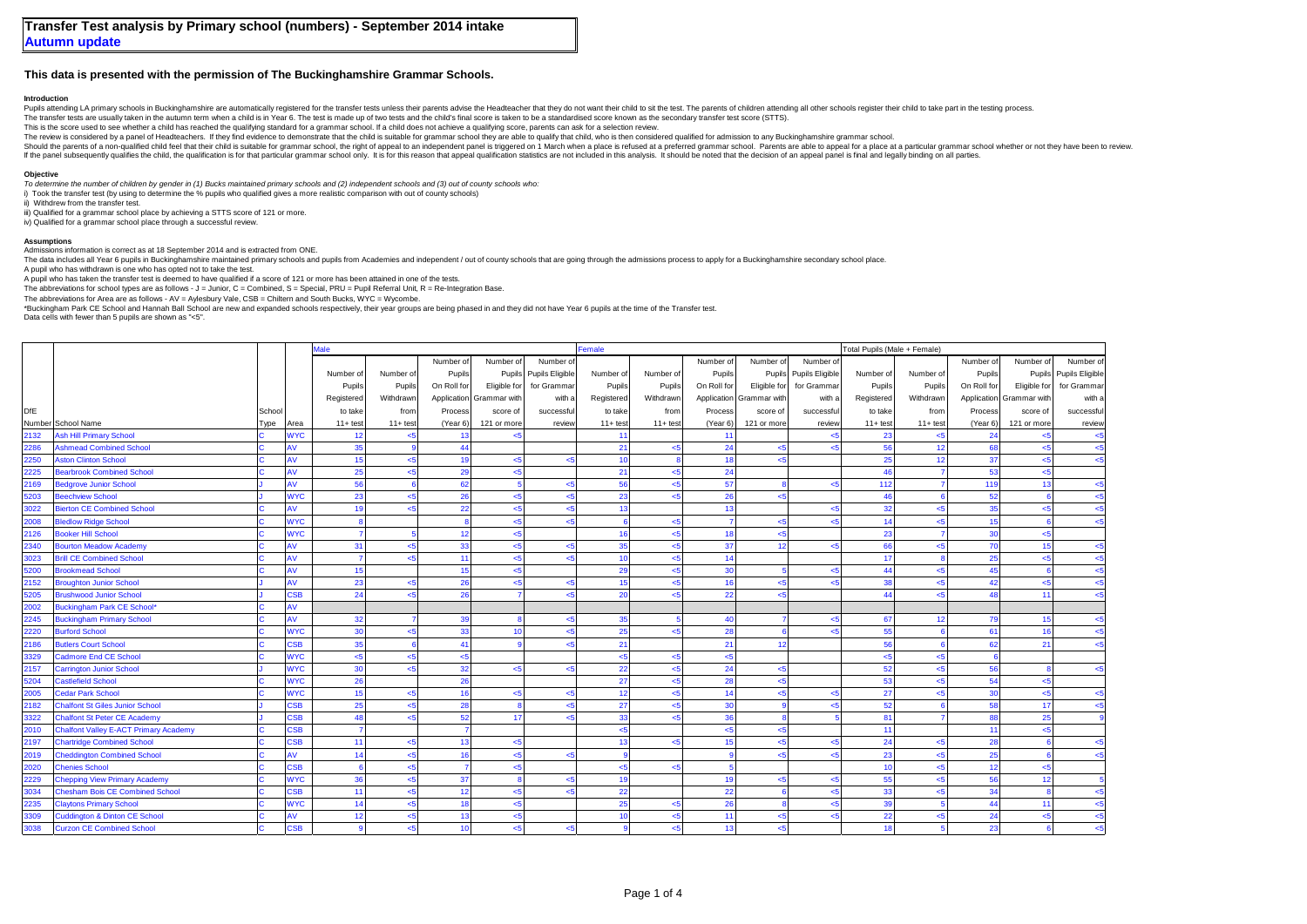# **This data is presented with the permission of The Buckinghamshire Grammar Schools.**

## **Introduction**

Pupils attending LA primary schools in Buckinghamshire are automatically registered for the transfer tests unless their parents advise the Headteacher that they do not want their child to sit the test. The parents of child

The transfer tests are usually taken in the autumn term when a child is in Year 6. The test is made up of two tests and the child's final score is taken to be a standardised score known as the secondary transfer test score

This is the score used to see whether a child has reached the qualifying standard for a grammar school. If a child does not achieve a qualifying score, parents can ask for a selection review.

The review is considered by a panel of Headteachers. If they find evidence to demonstrate that the child is suitable for grammar school they are able to qualify that child, who is then considered qualified for admission to

Should the parents of a non-qualified child feel that their child is suitable for grammar school, the right of appeal to an independent panel is triggered on 1 March when a place is refused at a preferred grammar school. P If the panel subsequently qualifies the child, the qualification is for that particular grammar school only. It is for this reason that appeal qualification statistics are not included in this analysis. It should be noted

### **Objective**

*To determine the number of children by gender in (1) Bucks maintained primary schools and (2) independent schools and (3) out of county schools who:*

i) Took the transfer test (by using to determine the % pupils who qualified gives a more realistic comparison with out of county schools)

ii) Withdrew from the transfer test.

iii) Qualified for a grammar school place by achieving a STTS score of 121 or more

iv) Qualified for a grammar school place through a successful review.

#### **Assumptions**

Admissions information is correct as at 18 September 2014 and is extracted from ONE.

The data includes all Year 6 pupils in Buckinghamshire maintained primary schools and pupils from Academies and independent / out of county schools that are going through the admissions process to apply for a Buckinghamshi

A pupil who has withdrawn is one who has opted not to take the test.

A pupil who has taken the transfer test is deemed to have qualified if a score of 121 or more has been attained in one of the tests.

The abbreviations for school types are as follows - J = Junior, C = Combined, S = Special, PRU = Pupil Referral Unit, R = Re-Integration Base.

The abbreviations for Area are as follows - AV = Aylesbury Vale, CSB = Chiltern and South Bucks, WYC = Wycombe.

\*Buckingham Park CE School and Hannah Ball School are new and expanded schools respectively, their year groups are being phased in and they did not have Year 6 pupils at the time of the Transfer test.

Data cells with fewer than 5 pupils are shown as "<5".

|            |                                              |        |                | <b>Aale</b> |             |                |                          |                        | Female      |                |                |              |                 | Total Pupils (Male + Female) |            |             |                |                        |  |
|------------|----------------------------------------------|--------|----------------|-------------|-------------|----------------|--------------------------|------------------------|-------------|----------------|----------------|--------------|-----------------|------------------------------|------------|-------------|----------------|------------------------|--|
|            |                                              |        |                |             |             | Number of      | Number of                | Number of              |             |                | Number of      | Number of    | Number of       |                              |            | Number of   | Number of      | Number of              |  |
|            |                                              |        |                | Number of   | Number of   | Pupils         |                          | Pupils Pupils Eligible | Number of   | Number of      | Pupils         | Pupils       | Pupils Eligible | Number of                    | Number of  | Pupils      |                | Pupils Pupils Eligible |  |
|            |                                              |        |                | Pupils      | Pupils      | On Roll for    | Eligible for             | for Grammar            | Pupils      | Pupils         | On Roll for    | Eligible for | for Grammar     | Pupils                       | Pupils     | On Roll for | Eligible for   | for Grammar            |  |
|            |                                              |        |                | Registered  | Withdrawn   |                | Application Grammar with | with a                 | Registered  | Withdrawn      | Application    | Grammar with | with a          | Registered                   | Withdrawn  | Application | Grammar with   | with a                 |  |
| <b>DfE</b> |                                              | School |                | to take     | from        | Process        | score of                 | successful             | to take     | from           | Process        | score of     | successfu       | to take                      | from       | Process     | score of       | successful             |  |
|            | Number School Name                           | Type   | Area           | $11 + test$ | $11 + test$ | (Year 6)       | 121 or more              | review                 | $11 + test$ | $11 + test$    | (Year 6)       | 121 or more  | review          | $11 + test$                  | $11+ test$ | (Year 6)    | 121 or more    | review                 |  |
| 2132       | <b>Ash Hill Primary School</b>               |        | <b>WYC</b>     | 12          | $5$         | 13             | < 5                      |                        | 11          |                | 11             |              |                 | 23                           | $5$        | 24          | $5$            |                        |  |
| 2286       | Ashmead Combined School                      |        | w              | 35          |             | 44             |                          |                        | 21          | 5 <sub>5</sub> | 24             | <5           |                 | 56                           | 12         | 68          | $5$            | < 5                    |  |
| 2250       | <b>Aston Clinton School</b>                  |        | AV             | 15          | $<$ 5       | 19             | < 5                      | $5$                    | 10          |                | 18             | 5            |                 | 25                           | 12         | 37          | 5              | $5$                    |  |
| 2225       | <b>Bearbrook Combined School</b>             |        | AV             | 25          | $\leq$      | 29             | $5$                      |                        | 21          | $5 - 5$        | 24             |              |                 | 46                           |            | 53          | $5 - 5$        |                        |  |
| 2169       | <b>Bedgrove Junior School</b>                |        | AV             | 56          |             | 62             |                          | $5$                    | 56          | < 5            | 57             |              | اے              | 112                          |            | 119         | 13             | $5$                    |  |
| 5203       | <b>Beechview School</b>                      |        | <b>WYC</b>     | 23          | $<$ 5       | 26             | $5$                      | <5                     | 23          | < 5            | 26             | <5           |                 | 46                           |            | 52          | $\mathbf{g}$   | < 5                    |  |
| 3022       | <b>Bierton CE Combined School</b>            |        |                | 19          | <5          | 22             | <5                       | <5                     | 13          |                | 13             |              | اے              | 32                           | $5 -$      | 35          | $5 - 5$        | $5$                    |  |
| 2008       | <b>Bledlow Ridge School</b>                  |        | <b>WYC</b>     |             |             | $\mathbf{a}$   | $5$                      | $5$                    |             | 5              | $\overline{7}$ | <5           | d               | 14                           | $5$        | 15          | 6              | $5$                    |  |
| 2126       | <b>Booker Hill School</b>                    |        | <b>WYC</b>     |             |             | 12             | $5$                      |                        | 16          | < 5            | 18             | <5           |                 | 23                           |            | 30          | < 5            |                        |  |
| 2340       | <b>Bourton Meadow Academy</b>                |        | A٧             | 31          | $<$ 5       | 33             | $5$                      | $5$                    | 35          | 5 <sub>5</sub> | 37             | 12           | جے              | 66                           | $5$        | 70          | 15             | < 5                    |  |
| 3023       | <b>Brill CE Combined School</b>              |        | AV             |             | 5           | 11             | $5$                      | $5$                    | 10          | $5 - 5$        | 14             |              |                 | 17                           |            | 25          | $5 - 5$        | $5$                    |  |
| 5200       | <b>Brookmead School</b>                      |        | AV             | 15          |             | 15             | $5 - 5$                  |                        | 29          | $\leq$ 5       | 30             |              | ď               | 44                           | $5$        | 45          | $\overline{6}$ | $5$                    |  |
| 2152       | <b>Broughton Junior School</b>               |        | AV             | 23          | $<$ 5       | 26             | $5$                      | $5$                    | 15          | < 5            | 16             | <5           |                 | 38                           | < 5        | 42          | $5$            | $5$                    |  |
| 5205       | <b>Brushwood Junior School</b>               |        | SSB            | 24          | 5           | 26             |                          | $\leq 5$               | 20          | 5 <sub>5</sub> | 22             | 55           |                 | 44                           | $5 - 5$    | 48          | 11             | 5                      |  |
| 2002       | <b>Buckingham Park CE School</b>             |        | AV             |             |             |                |                          |                        |             |                |                |              |                 |                              |            |             |                |                        |  |
| 2245       | <b>Buckingham Primary School</b>             |        | AV             | 32          |             | 39             |                          | $5$                    | 35          |                | 40             |              | -45             | 67                           | 12         | 79          | 15             | $5$                    |  |
| 2220       | <b>Burford School</b>                        |        | <b>WYC</b>     | 30          | < 5         | 33             | 10                       | $5$                    | 25          | 5 <sub>5</sub> | 28             |              | اح              | 55                           |            | 61          | 16             | < 5                    |  |
| 2186       | <b>Butlers Court School</b>                  |        | S <sub>B</sub> | 35          | -6          | 41             |                          | 5                      | 21          |                | 21             | 12           |                 | 56                           |            | 62          | 21             | $5$                    |  |
| 3329       | <b>Cadmore End CE School</b>                 |        | <b>WYC</b>     | $5 - 5$     | $5$         | < 5            |                          |                        | $5$         | $5 - 5$        | < 5            |              |                 | $5$                          | $5 - 5$    |             |                |                        |  |
| 2157       | <b>Carrington Junior School</b>              |        | <b>WYC</b>     | 30          | $5$         | 32             | < 5                      | $\leq$ 5               | 22          | < 5            | 24             | $5$          |                 | 52                           | $5$        | 56          |                | $5$                    |  |
| 5204       | Castlefield School                           |        | <b>WYC</b>     | 26          |             | 26             |                          |                        | 27          | $5 - 5$        | 28             | <5           |                 | 53                           | <5         | 54          | $5$            |                        |  |
| 2005       | <b>Cedar Park School</b>                     |        | <b>WYC</b>     | 15          | < 5         | 16             | < 5                      | $5$                    | 12          | < 5            | 14             | <5           | $5$             | 27                           | 5          | 30          | < 5            | < 5                    |  |
| 2182       | <b>Chalfont St Giles Junior School</b>       |        | SSB            | 25          | $5$         | 28             |                          | $5$                    | 27          | < 5            | 30             |              |                 | 52                           |            | 58          | 17             | < 5                    |  |
| 3322       | <b>Chalfont St Peter CE Academy</b>          |        | 38B            | 48          | <5          | 52             | 17                       | $\leq$ 5               | 33          | 5 <sub>5</sub> | 36             |              |                 | 81                           |            | 88          | 25             |                        |  |
| 2010       | <b>Chalfont Valley E-ACT Primary Academy</b> |        | SSB            |             |             | $\overline{7}$ |                          |                        | $5$         |                | $<$ 5          | <5           |                 | 11                           |            | 11          | $5 - 5$        |                        |  |
| 2197       | <b>Chartridge Combined School</b>            |        | <b>SB</b>      | 11          | < 5         | 13             | $5 - 5$                  |                        | 13          | $5 - 5$        | 15             | <5           | -45             | 24                           | <5         | 28          | $\mathbf{g}$   | < 5                    |  |
| 2019       | <b>Cheddington Combined School</b>           |        | AV             | 14          | $<$ 5       | 16             | $5$                      | <5                     |             |                | $\alpha$       | <5           |                 | 23                           | <5         | 25          | R              | $5$                    |  |
| 2020       | <b>Chenies School</b>                        |        | <b>SB</b>      |             | $\leq$      | $\overline{7}$ | $5$                      |                        | $5$         | $5$            |                |              |                 | 10                           | <5         | 12          | $5 - 5$        |                        |  |
| 2229       | <b>Chepping View Primary Academy</b>         |        | <b>NYC</b>     | 36          | $\leq$      | 37             |                          | $5$                    | 19          |                | 19             | 5            | $<$ 5           | 55                           | <5         | 56          | 12             |                        |  |
| 3034       | <b>Chesham Bois CE Combined School</b>       |        | <b>SB</b>      | 11          | $\leq$      | 12             | $5 - 5$                  | $5$                    | 22          |                | 22             |              | -45             | 33                           | 5          | 34          | $\mathbf{R}$   | < 5                    |  |
| 2235       | <b>Claytons Primary School</b>               |        | <b>WYC</b>     | 14          | $\leq$      | 18             | $5$                      |                        | 25          | < 5            | 26             |              | -45             | 39                           |            | 44          | 11             | < 5                    |  |
| 3309       | <b>Cuddington &amp; Dinton CE School</b>     |        | AV             | 12          | 5           | 13             | $5$                      |                        | 10          | $\leq$ 5       | 11             | $5$          | ď               | 22                           | <5         | 24          | $5 - 5$        | $5$                    |  |
| 3038       | <b>Curzon CE Combined School</b>             |        | <b>SB</b>      |             | < 5         | 10             | $5$                      | $5$                    |             | $5$            | 13             | < 5          |                 | 18                           |            | 23          |                | $5$                    |  |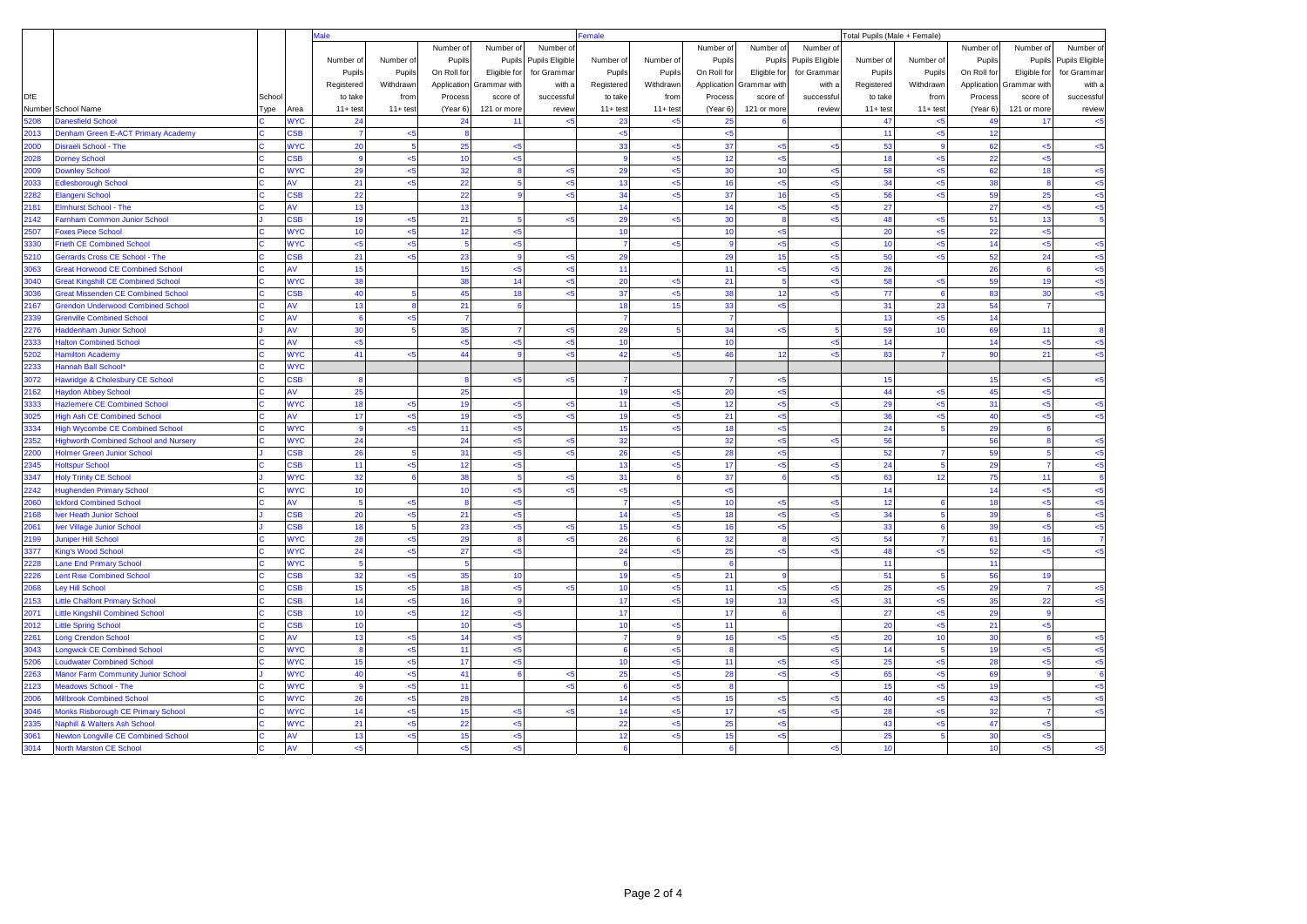|              |                                                                            |        |                  | <b>Aale</b>        |                    |                |                |                      | Female<br>Total Pupils (Male + Female) |                |             |                  |                        |                  |                    |                  |                          |                 |  |
|--------------|----------------------------------------------------------------------------|--------|------------------|--------------------|--------------------|----------------|----------------|----------------------|----------------------------------------|----------------|-------------|------------------|------------------------|------------------|--------------------|------------------|--------------------------|-----------------|--|
|              |                                                                            |        |                  |                    |                    | Number of      | Number of      | Number of            |                                        |                | Number of   | Number of        | Number of              |                  |                    | Number of        | Number of                | Number of       |  |
|              |                                                                            |        |                  | Number of          | Number of          | Pupils         | Pupils         | Pupils Eligible      | Number of                              | Number of      | Pupils      |                  | Pupils Pupils Eligible | Number of        | Number of          | Pupils           | Pupils                   | Pupils Eligible |  |
|              |                                                                            |        |                  | Pupils             | Pupils             | On Roll for    | Eligible for   | for Grammar          | Pupils                                 | Pupils         | On Roll for | Eligible for     | for Grammar            | Pupils           | Pupils             | On Roll for      | Eligible for             | for Grammar     |  |
|              |                                                                            |        |                  | Registered         | Withdrawn          | Application    | Grammar with   | with a               | Registered                             | Withdrawn      | Application | Grammar with     | with a                 | Registered       | Withdrawn          |                  | Application Grammar with | with a          |  |
| <b>DfE</b>   |                                                                            | School |                  | to take            | from               | Process        | score of       | successfu            | to take                                | from           | Process     | score of         | successful             | to take          | from               | Process          | score of                 | successful      |  |
|              | Number School Name                                                         | Гуре   | Area             | $11 + \text{test}$ | $11 + \text{test}$ | (Year 6)       | 121 or more    | review               | $11 + test$                            | $11 + test$    | (Year 6)    | 121 or more      | review                 | $11+ test$       | $11 + \text{test}$ | (Year 6)         | 121 or more              | review          |  |
| 5208         | <b>Danesfield School</b>                                                   |        | <b>NYC</b>       | 24                 |                    | 24             | 11             | $5$                  | 23                                     | $5$            | 25          | 6                |                        | 47               | < 5                | 49               | 17                       | $5$             |  |
| 2013         | Denham Green E-ACT Primary Academy                                         |        | <b>SB</b>        | $\overline{7}$     | $5$                | $\mathbf{a}$   |                |                      | $5$                                    |                | $\leq$      |                  |                        | 11               | 5                  | 12               |                          |                 |  |
| 2000         | Disraeli School - The                                                      |        | <b>NYC</b>       | 20                 | $\overline{5}$     | 25             | < 5            |                      | 33                                     | $5$            | 37          | $5$              | <5                     | 53               | $\mathbf{g}$       | 62               | $5$                      | $5$             |  |
| 2028         | <b>Dorney School</b>                                                       |        | <b>SB</b>        | $\mathbf{g}$       | $5$                | 10             | 5              |                      | $\mathbf{g}$                           | $5$            | 12          | $5$              |                        | 18               | <5                 | 22               | <5                       |                 |  |
| 2009         | <b>Downley School</b>                                                      |        | <b>NYC</b>       | 29                 | < 5                | 32             | Æ              | $<$ 5                | 29                                     | $5$            | 30          | 10               | 5                      | 58               | $5$                | 62               | 18                       | < 5             |  |
| 2033         | dlesborough School                                                         |        | ١V               | 21                 | $5$                | 22             | 5              | $\leq$ 5             | 13                                     | $5$            | 16          | $5$              | 5                      | 34               | $5$                | 38               |                          | $5$             |  |
| 2282         | Elangeni School                                                            |        | <b>SB</b>        | 22                 |                    | 22             |                | <5                   | 34                                     | <5             | 37          | 16               | <5                     | 56               | <5                 | 59               | 25                       | $5$             |  |
| 2181         | <b>Elmhurst School - The</b>                                               |        | ١V               | 13                 |                    | 13             |                |                      | 14                                     |                | 14          | <5               | $5 - 5$                | 27               |                    | 27               | $5$                      | $5$             |  |
| 2142         | Farnham Common Junior School                                               |        | <b>SB</b>        | 19                 | $5$                | 21             | 5              | $5$                  | 29                                     | <5             | 30          | $\boldsymbol{8}$ | 5                      | 48               | <5                 | 51               | 13                       |                 |  |
| 2507         | <b>Foxes Piece School</b>                                                  |        | <b>VYC</b>       | 10                 | <5                 | 12             | <5             |                      | 10                                     |                | 10          | <5               |                        | 20               | $5$                | 22               | $5$                      |                 |  |
| 3330         | Frieth CE Combined School                                                  |        | <b>VYC</b>       | $5 -$              | <5                 |                | <5             |                      | $\overline{7}$                         | <5             |             | <5               | <5                     | 10               | $5 -$              | 14               | $5 -$                    | <5              |  |
| 5210         | <b>Gerrards Cross CE School - The</b>                                      |        | <b>SB</b>        | 21                 | < 5                | 23             | ø              | $<$ 5                | 29                                     |                | 29          | 15               | <5                     | 50               | $5$                | 52               | 24                       | $5$             |  |
| 3063         | <b>Sreat Horwood CE Combined School</b>                                    |        | ١V               | 15                 |                    | 15             | <5             | k.                   | 11                                     |                | 11          | <5               | $\leq$ 5               | 26               |                    | 26               |                          | $5 - 5$         |  |
| 3040         | <b>Breat Kingshill CE Combined School</b>                                  |        | <b>NYC</b>       | 38                 |                    | 38             | 14             | $5$                  | 20                                     | $5$            | 21          | $5\phantom{.0}$  | 5                      | 58               | $\leq 5$           | 59               | 19                       | $5$             |  |
| 3036         | <b>Great Missenden CE Combined School</b>                                  |        | <b>SB</b>        | 40                 | 5                  | 45             | 18             | k.                   | 37                                     | $5 - 5$        | 38          | 12               | $5 -$                  | 77               |                    | 83               | 30                       | <5              |  |
| 2167         | <b>Grendon Underwood Combined School</b>                                   |        | ۹V               | 13                 | $\bf{8}$           | 21             | $\epsilon$     |                      | 18                                     | 15             | 33          | $5$              |                        | 31               | 23                 | 54               | $\overline{7}$           |                 |  |
| 2339         | <b>Grenville Combined School</b>                                           |        | ۹V               | 6                  | < 5                | $\overline{7}$ |                |                      | $\overline{7}$                         |                |             |                  |                        | 13               | < 5                | 14               |                          |                 |  |
| 2276         | <b>Haddenham Junior School</b>                                             |        | AV               | 30                 | 5 <sup>1</sup>     | 35             | $\overline{7}$ | < 5                  | 29                                     | $\overline{5}$ | 34          | $5$              |                        | 59               | 10                 | 69               | 11                       | $\mathbf{R}$    |  |
| 2333         | <b>Halton Combined School</b>                                              |        | À٧               | $5$                |                    | < 5            | <5             | $<$ 5                | 10                                     |                | 10          |                  | <5                     | 14               |                    | 14               | <5                       | $5$             |  |
| 5202         | <b>Hamilton Academy</b>                                                    |        | <b>NYC</b>       | 41                 | < 5                | 44             | ø              | < 5                  | 42                                     | $5$            | 46          | 12               | $5 - 5$                | 83               | $\overline{7}$     | 90               | 21                       | $5 - 5$         |  |
| 2233         | <b>Hannah Ball School*</b>                                                 |        | <b>VYC</b>       |                    |                    |                |                |                      |                                        |                |             |                  |                        |                  |                    |                  |                          |                 |  |
| 3072         | Hawridge & Cholesbury CE School                                            |        | <b>SB</b>        | $\mathbf{R}$       |                    | $\mathbf{R}$   | <5             | $5$                  | $\overline{7}$                         |                |             | $5$              |                        | 15               |                    | 15               | <5                       | $5$             |  |
| 2162         | <b>Haydon Abbey School</b>                                                 |        | ۹V               | 25                 |                    | 25             |                |                      | 19                                     | $5$            | 20          | <5               |                        | 44               | <5                 | 45               | $5$                      |                 |  |
| 3333<br>3025 | <b>Hazlemere CE Combined School</b>                                        |        | <b>VYC</b>       | 18<br>17           | $5$<br>$5$         | 19<br>19       | $5$<br><5      | $\leq$ 5<br>$\leq$ 5 | 11<br>19                               | $5 -$<br>$5$   | 12          | <5               | <5                     | 29<br>36         | <5                 | 31<br>40         | <5<br>$5$                | <5              |  |
| 3334         | <b>High Ash CE Combined School</b>                                         |        | ۹V<br><b>VYC</b> | $\mathbf{g}$       | $5 - 5$            | 11             | <5             |                      | 15                                     | $\leq 5$       | 21<br>18    | $5$<br><5        |                        | 24               | <5                 | 29               |                          | $5$             |  |
|              | <b>High Wycombe CE Combined School</b>                                     |        | <b>NYC</b>       | 24                 |                    | 24             | $5$            | < 5                  | 32                                     |                |             | $5$              | <5                     | 56               |                    | 56               |                          | < 5             |  |
| 2352<br>2200 | <b>Highworth Combined School and Nursery</b><br>Holmer Green Junior School |        | <b>SB</b>        | 26                 | $\overline{5}$     | 31             | 5<             | k.                   | 26                                     | <5             | 32<br>28    | $5$              |                        | 52               |                    | 59               |                          | $5$             |  |
| 2345         | <b>Ioltspur School</b>                                                     |        | <b>SB</b>        | 11                 | $5$                | 12             | 5              |                      | 13                                     | <5             | 17          | $5$              | <5                     | 24               | 5                  | 29               | $\overline{7}$           | < 5             |  |
| 3347         | <b>Holy Trinity CE School</b>                                              |        | <b>VYC</b>       | 32                 | 6                  | 38             | 5              | 5                    | 31                                     | 6              | 37          | $6 \overline{6}$ | $5 -$                  | 63               | 12                 | 75               | 11                       | 6               |  |
| 2242         | <b>Hughenden Primary School</b>                                            |        | <b>NYC</b>       | 10                 |                    | 10             | $5$            | < 5                  | $5$                                    |                | $5$         |                  |                        | 14               |                    | 14               | $5$                      | $5$             |  |
| 2060         | <b>Ickford Combined School</b>                                             |        | W                | $5\overline{5}$    | < 5                | $\mathbf{R}$   | <5             |                      | $\overline{7}$                         | $5$            | 10          | $5$              | $5 -$                  | 12               |                    | 18               | 5                        | $-5$            |  |
| 2168         | ver Heath Junior School                                                    |        | <b>SB</b>        | 20                 | $5$                | 21             | <5             |                      | 14                                     | $5$            | 18          | $5$              | 5                      | 34               | Б                  | 39               |                          | $5$             |  |
| 2061         | ver Village Junior School                                                  |        | <b>SB</b>        | 18                 | $5\phantom{.0}$    | 23             | $5$            | $5$                  | 15                                     | $5$            | 16          | < 5              |                        | 33               | 6                  | 39               | $5$                      | $5$             |  |
| 2199         | Juniper Hill School                                                        |        | <b>VYC</b>       | 28                 | <5                 | 29             |                |                      | 26                                     | 6              | 32          | 8                | <5                     | 54               |                    | 61               | 16                       |                 |  |
| 3377         | King's Wood School                                                         |        | <b>VYC</b>       | 24                 | < 5                | 27             | $< 5$          |                      | 24                                     | $5$            | 25          | $5$              | 5                      | 48               | < 5                | 52               | $5$                      | $5$             |  |
| 2228         | ane End Primary School                                                     |        | <b>VYC</b>       |                    |                    |                |                |                      |                                        |                |             |                  |                        | 11               |                    | 11               |                          |                 |  |
| 2226         | <b>Lent Rise Combined School</b>                                           |        | <b>SB</b>        | 32                 | < 5                | 35             | 10             |                      | 19                                     | $5$            | 21          | 9                |                        | 51               |                    | 56               | 19                       |                 |  |
| 2068         | ey Hill School                                                             |        | <b>SB</b>        | 15                 | < 5                | 18             | < 5            | جے                   | 10                                     | <5             | 11          | $5$              | $5$                    | 25               | $5$                | 29               |                          | $5$             |  |
| 2153         | Little Chalfont Primary School                                             |        | <b>SB</b>        | 14                 | $\leq 5$           | 16             | g              |                      | 17                                     | $5$            | 19          | 13               | <5                     | 31               | $5$                | 35               | 22                       | <5              |  |
| 2071         | Little Kingshill Combined School                                           |        | <b>SB</b>        | 10                 | $5$                | 12             | < 5            |                      | 17                                     |                | 17          | 6                |                        | 27               | 5                  | 29               |                          |                 |  |
| 2012         | <b>Little Spring School</b>                                                |        | <b>SB</b>        | 10                 |                    | 10             | $5$            |                      | 10                                     | $5$            | 11          |                  |                        | 20               | $5$                | 21               | $5 - 5$                  |                 |  |
| 2261         | <b>Long Crendon School</b>                                                 |        | ۹V               | 13                 | $5$                | 14             | < 5            |                      | $\overline{7}$                         | $\overline{9}$ | 16          | $5$              | 5                      | 20               | 10                 | 30               |                          | $5$             |  |
| 3043         | ongwick CE Combined School                                                 |        | <b>NYC</b>       | 8                  | < 5                | 11             | $< 5$          |                      | 6                                      | $5$            |             |                  | 5                      | 14               | 5                  | 19               | $5$                      | < 5             |  |
| 5206         | <b>Loudwater Combined School</b>                                           |        | <b>VYC</b>       | 15                 | <5                 | 17             | $5 -$          |                      | 10                                     | <5             | 11          | <5               | <5                     | 25               | $5 -$              | 28               | <5                       | <5              |  |
| 2263         | Manor Farm Community Junior School                                         |        | <b>NYC</b>       | 40                 | <5                 | 41             | $\epsilon$     | < 5                  | 25                                     | <5             | 28          | <5               | <5                     | 65               | $5$                | 69               |                          | $\mathbf{g}$    |  |
| 2123         | Meadows School - The                                                       |        | <b>VYC</b>       | $\overline{9}$     | < 5                | 11             |                | $\epsilon$ 5         | $6\phantom{1}6$                        | $5$            |             |                  |                        | 15               | <5                 | 19               |                          | $5$             |  |
| 2006         | <b>Millbrook Combined School</b>                                           |        | <b>VYC</b>       | 26                 | $5$                | 28             |                |                      | 14                                     | $\leq 5$       | 15          | $5$              | <5                     | 40               | <5                 | 43               | <5                       | <5              |  |
| 3046         | Monks Risborough CE Primary School                                         |        | <b>VYC</b>       | 14                 | < 5                | 15             | $5$            | <5                   | 14                                     | <5             | 17          | $5$              | 5                      | 28               | $5$                | 32               | $\overline{7}$           | $5$             |  |
| 2335         | <b>Vaphill &amp; Walters Ash School</b>                                    |        | <b>VYC</b>       | 21                 | $5 - 5$            | 22             | <5             |                      | 22                                     | <5             | 25          | <5               |                        | 43               | $5 - 5$            | 47               | $5 - 5$                  |                 |  |
| 3061         | <b>Newton Longville CE Combined School</b>                                 |        | ۹V               | 13                 | $5$                | 15             | <5             |                      | 12                                     | $5 -$          | 15          | $5$              |                        | 25               |                    | 30               | $5$                      |                 |  |
| 3014         | <b>North Marston CE School</b>                                             |        | À٧               | 5 <sub>5</sub>     |                    | $5 -$          | $5 - 5$        |                      | $\mathbf{g}$                           |                |             |                  | $\epsilon$ 5           | 10 <sub>10</sub> |                    | 10 <sup>10</sup> | 5 <sub>5</sub>           | $5 - 5$         |  |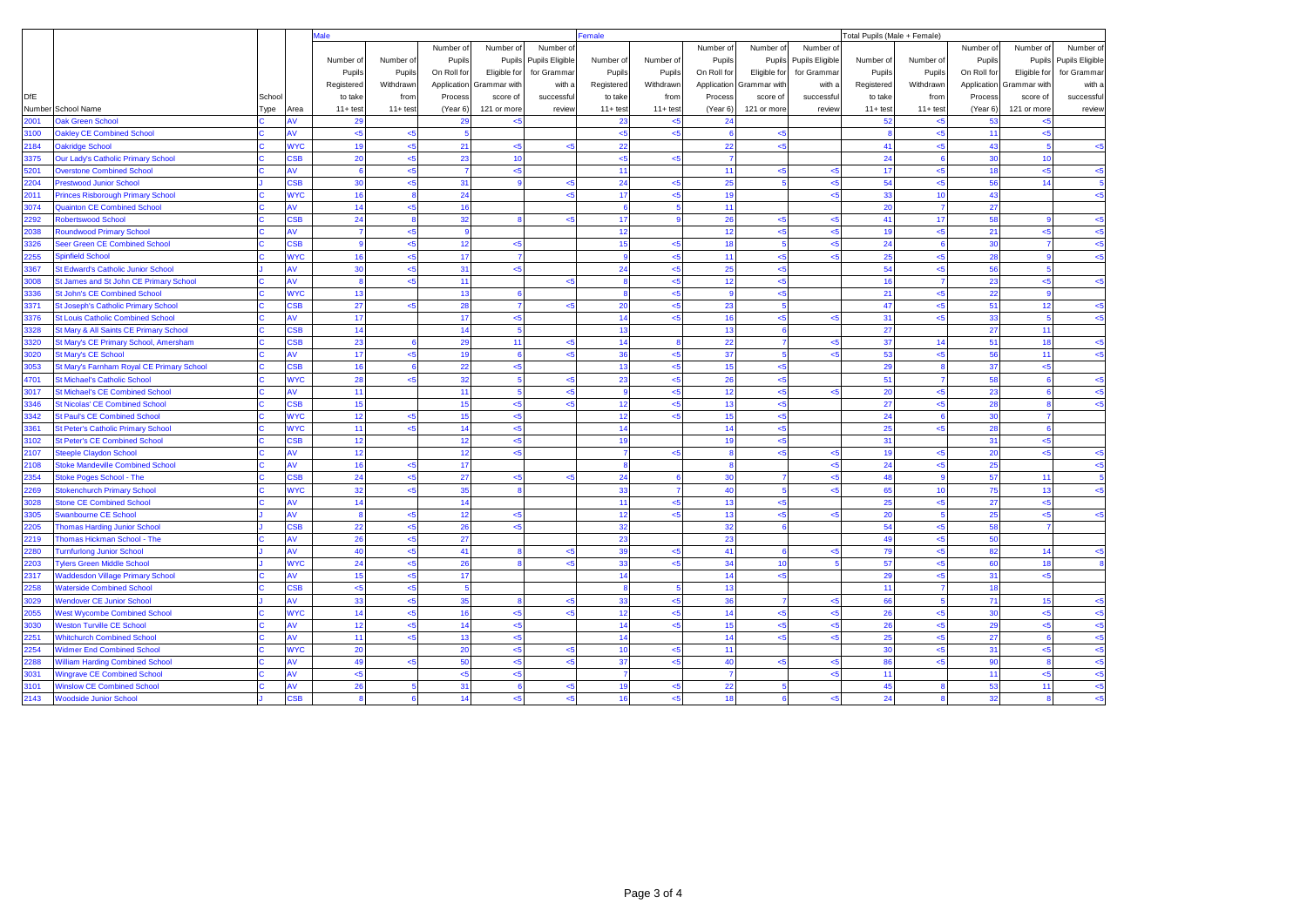|      |                                           |        |                | Male           |                |                |                |                 | Female                  |                 |             |                 |                 | Total Pupils (Male + Female) |                    |             |                          |                 |  |
|------|-------------------------------------------|--------|----------------|----------------|----------------|----------------|----------------|-----------------|-------------------------|-----------------|-------------|-----------------|-----------------|------------------------------|--------------------|-------------|--------------------------|-----------------|--|
|      |                                           |        |                |                |                | Number of      | Number of      | Number of       |                         |                 | Number of   | Number of       | Number of       |                              |                    | Number of   | Number of                | Number of       |  |
|      |                                           |        |                | Number of      | Number of      | Pupils         | Pupils         | Pupils Eligible | Number of               | Number of       | Pupils      | Pupils          | Pupils Eligible | Number of                    | Number of          | Pupils      | Pupils                   | Pupils Eligible |  |
|      |                                           |        |                | Pupils         | Pupils         | On Roll for    | Eligible for   | for Grammar     | Pupils                  | Pupils          | On Roll for | Eligible for    | for Grammar     | Pupils                       | Pupils             | On Roll for | Eligible for             | for Grammar     |  |
|      |                                           |        |                | Registered     | Withdrawn      | Application    | Grammar with   | with a          | Registered              | Withdrawn       | Application | Grammar with    | with a          | Registered                   | Withdrawn          |             | Application Grammar with | with a          |  |
| DfE  |                                           | School |                | to take        | from           | Process        | score of       | successful      | to take                 | from            | Process     | score of        | successful      | to take                      | from               | Process     | score of                 | successful      |  |
|      | Number School Name                        | Type   | Area           | $11 + test$    | $11+ test$     | (Year 6)       | 121 or more    | review          | $11 + test$             | $11 + test$     | (Year 6)    | 121 or more     | review          | $11 + test$                  | $11 + \text{test}$ | (Year 6)    | 121 or more              | review          |  |
| 2001 | Oak Green School                          |        | ۹V             | 29             |                | 29             | <5             |                 | 23                      | $5$             | 24          |                 |                 | 52                           | < 5                | 53          | < 5                      |                 |  |
| 3100 | <b>Oakley CE Combined School</b>          |        | ۹V             | <5             | <5             | 5              |                |                 | $5$                     | <5              |             | $5$             |                 | $\mathbf{a}$                 | <5                 | 11          | $5 -$                    |                 |  |
| 2184 | <b>Dakridge School</b>                    |        | <b>NYC</b>     | 19             | $5$            | 21             | $5$            | $5$             | 22                      |                 | 22          | $5 - 5$         |                 | 41                           | 5                  | 43          |                          | $5$             |  |
| 3375 | Our Lady's Catholic Primary School        |        | <b>SB</b>      | 20             | < 5            | 23             | 10             |                 | $5$                     | <5              |             |                 |                 | 24                           | 6                  | 30          | 10                       |                 |  |
| 5201 | <b>Overstone Combined School</b>          |        | ۹V             | 6              | < 5            | $\overline{7}$ | $5$            |                 | 11                      |                 | 11          | $5$             | 5               | 17                           | $5 - 5$            | 18          | $5$                      | $5$             |  |
| 2204 | <b>Prestwood Junior School</b>            |        | <b>SB</b>      | 30             | $5$            | 31             |                | < 5             | 24                      | $5$             | 25          | $\overline{5}$  | 5               | 54                           | < 5                | 56          | 14                       |                 |  |
| 2011 | Princes Risborough Primary School         |        | <b>VYC</b>     | 16             | 8              | 24             |                |                 | 17                      | <5              | 19          |                 | <5              | 33                           | 10                 | 43          |                          | <5              |  |
| 3074 | <b>Quainton CE Combined School</b>        |        | Ŵ              | 14             | < 5            | 16             |                |                 | 6                       | 5               | 11          |                 |                 | 20                           | $\overline{7}$     | 27          |                          |                 |  |
| 2292 | <b>Robertswood School</b>                 |        | <b>SB</b>      | 24             | 8              | 32             | я              | $5$             | 17                      | $\mathbf{9}$    | 26          | < 5             | <5              | 41                           | 17                 | 58          |                          | $5$             |  |
| 2038 | <b>Roundwood Primary School</b>           |        | ۹V             | $\overline{7}$ | < 5            | $\mathbf{g}$   |                |                 | 12                      |                 | 12          | $5$             | <5              | 19                           | <5                 | 21          | <5                       | $5$             |  |
| 3326 | <b>Seer Green CE Combined School</b>      |        | S <sub>B</sub> | $\mathbf{Q}$   | $5$            | 12             | <5             |                 | 15                      | <5              | 18          | $\overline{5}$  | <5              | 24                           | $\mathbf{g}$       | 30          |                          | $5 -$           |  |
| 2255 | pinfield School                           |        | <b>NYC</b>     | 16             | $5$            | 17             | 7              |                 | 9                       | $5$             | 11          | $5$             | 5               | 25                           | < 5                | 28          |                          | $5$             |  |
| 3367 | <b>St Edward's Catholic Junior School</b> |        | ۹V             | 30             | <5             | 31             | <5             |                 | 24                      | $5$             | 25          | <5              |                 | 54                           | $5$                | 56          |                          |                 |  |
| 3008 | St James and St John CE Primary School    |        | ١V             | $\mathbf{R}$   | < 5            | 11             |                | جے              | $\mathbf{a}$            | <5              | 12          | $5 - 5$         |                 | 16                           |                    | 23          | $5 - 5$                  | < 5             |  |
| 3336 | St John's CE Combined School              |        | <b>NYC</b>     | 13             |                | 13             | F              |                 | $\mathbf{a}$            | $5$             |             | $5$             |                 | 21                           | $5$                | 22          |                          |                 |  |
| 3371 | St Joseph's Catholic Primary School       |        | <b>SB</b>      | 27             | < 5            | 28             | $\overline{7}$ | < 5             | 20                      | <5              | 23          | $5\phantom{a}$  |                 | 47                           | $5$                | 51          | 12                       | $5$             |  |
| 3376 | <b>St Louis Catholic Combined School</b>  |        | ١V             | 17             |                | 17             | <5             |                 | 14                      | $5$             | 16          | $5$             | -5              | 31                           | $5 - 5$            | 33          |                          | $5$             |  |
| 3328 | St Mary & All Saints CE Primary School    |        | <b>SB</b>      | 14             |                | 14             | 5              |                 | 13                      |                 | 13          | 6               |                 | 27                           |                    | 27          | 11                       |                 |  |
| 3320 | St Mary's CE Primary School, Amersham     |        | <b>SB</b>      | 23             | 6              | 29             | 11             | < 5             | 14                      | $\mathbf{a}$    | 22          | $\overline{7}$  | <5              | 37                           | 14                 | 51          | 18                       | $5$             |  |
| 3020 | St Mary's CE School                       |        | ۹V             | 17             | < 5            | 19             | $\epsilon$     | $\leq$ 5        | 36                      | <5              | 37          | 5               | <5              | 53                           | $5$                | 56          | 11                       | < 5             |  |
| 3053 | St Mary's Farnham Royal CE Primary School |        | <b>SB</b>      | 16             | 6              | 22             | $5$            |                 | 13                      | <5              | 15          | $5$             |                 | 29                           |                    | 37          | $5 - 5$                  |                 |  |
| 4701 | <b>St Michael's Catholic School</b>       |        | <b>VYC</b>     | 28             | < 5            | 32             | s              | $\leq$ 5        | 23                      | <5              | 26          | $5$             |                 | 51                           |                    | 58          |                          | $5$             |  |
| 3017 | <b>St Michael's CE Combined School</b>    |        | ١V             | 11             |                | 11             | 5              | $5$             | 9                       | $5$             | 12          | < 5             | 5               | 20                           | $5$                | 23          |                          | $5$             |  |
| 3346 | <b>St Nicolas' CE Combined School</b>     |        | <b>SB</b>      | 15             |                | 15             | $5$            | $5$             | 12                      | $5$             | 13          | <5              |                 | 27                           | $5$                | 28          |                          | <5              |  |
| 3342 | It Paul's CE Combined School              |        | <b>NYC</b>     | 12             | < 5            | 15             | < 5            |                 | 12                      | $5 -$           | 15          | $5$             |                 | 24                           |                    | 30          |                          |                 |  |
| 3361 | St Peter's Catholic Primary School        |        | <b>NYC</b>     | 11             | $5$            | 14             | $5$            |                 | 14                      |                 | 14          | $5$             |                 | 25                           | <5                 | 28          |                          |                 |  |
| 3102 | <b>St Peter's CE Combined School</b>      |        | <b>SB</b>      | 12             |                | 12             | $5$            |                 | 19                      |                 | 19          | $5$             |                 | 31                           |                    | 31          | $5$                      |                 |  |
| 2107 | <b>iteeple Claydon School</b>             |        | ١V             | 12             |                | 12             | 5              |                 | $\overline{7}$          | < 5             |             | $5 - 5$         | <5              | 19                           | < 5                | 20          | < 5                      | $5$             |  |
| 2108 | <b>Itoke Mandeville Combined School</b>   |        | ١V             | 16             | $5$            | 17             |                |                 | $\overline{\mathbf{8}}$ |                 |             |                 | <5              | 24                           | $5 -$              | 25          |                          | <5              |  |
| 2354 | Stoke Poges School - The                  |        | <b>SB</b>      | 24             | $\leq$ 5       | 27             | < 5            | < 5             | 24                      | $6\overline{6}$ | 30          | $\overline{7}$  | <5              | 48                           | <b>q</b>           | 57          | 11                       | 5               |  |
| 2269 | <b>Stokenchurch Primary School</b>        |        | <b>NYC</b>     | 32             | < 5            | 35             |                |                 | 33                      | 7               | 40          | $5\overline{5}$ | $5 -$           | 65                           | 10                 | 75          | 13                       | $\leq$ 5        |  |
| 3028 | <b>Itone CE Combined School</b>           |        | ١V             | 14             |                | 14             |                |                 | 11                      | <5              | 13          | $5$             |                 | 25                           | <5                 | 27          | $5$                      |                 |  |
| 3305 | wanbourne CE School                       |        | ۹V             | 8              | < 5            | 12             | $5$            |                 | 12                      | <5              | 13          | $5$             | <5              | 20                           | 5                  | 25          | $5$                      | $5$             |  |
| 2205 | <b>Thomas Harding Junior School</b>       |        | SSB            | 22             | $5$            | 26             | <5             |                 | 32                      |                 | 32          | 6               |                 | 54                           | $5$                | 58          |                          |                 |  |
| 2219 | <b>Thomas Hickman School - The</b>        |        | ۹V             | 26             | $5$            | 27             |                |                 | 23                      |                 | 23          |                 |                 | 49                           | 5                  | 50          |                          |                 |  |
| 2280 | <b>Furnfurlong Junior School</b>          |        | ١V             | 40             | $5$            | 41             |                | $5$             | 39                      | $5$             | 41          | $6\overline{6}$ | k5              | 79                           | $5 - 5$            | 82          | 14                       | $5 - 5$         |  |
| 2203 | <b>Tylers Green Middle School</b>         |        | <b>NYC</b>     | 24             | < 5            | 26             |                | $\leq$ 5        | 33                      | $5$             | 34          | 10              |                 | 57                           | < 5                | 60          | 18                       |                 |  |
| 2317 | <b>Waddesdon Village Primary School</b>   |        | ۹V             | 15             | < 5            | 17             |                |                 | 14                      |                 | 14          | $5$             |                 | 29                           | <5                 | 31          | $5$                      |                 |  |
| 2258 | <b>Vaterside Combined School</b>          |        | <b>SB</b>      | < 5            | $5 - 5$        |                |                |                 |                         |                 | 13          |                 |                 | 11                           |                    | 18          |                          |                 |  |
| 3029 | <b>Nendover CE Junior School</b>          |        | ۹V             | 33             | <5             | 35             | <b>g</b>       | $\leq$ 5        | 33                      | <5              | 36          | $\overline{7}$  | 5               | 66                           | 5                  | 71          | 15                       | $5$             |  |
| 2055 | <b>Nest Wycombe Combined School</b>       |        | <b>NYC</b>     | 14             | < 5            | 16             | $5$            | < 5             | 12                      | $5$             | 14          | $5$             | <5              | 26                           | $5 - 5$            | 30          | $5$                      | $5$             |  |
| 3030 | <b>Neston Turville CE School</b>          |        | ۹V             | 12             | $5$            | 14             | < 5            |                 | 14                      | $5$             | 15          | $5$             | 5               | 26                           | < 5                | 29          | <5                       | < 5             |  |
| 2251 | <b>Vhitchurch Combined School</b>         |        | ۹V             | 11             | $5$            | 13             | <5             |                 | 14                      |                 | 14          | <5              | $\leq$          | 25                           | $5 -$              | 27          |                          | <5              |  |
| 2254 | <b>Nidmer End Combined School</b>         |        | <b>NYC</b>     | 20             |                | 20             | $< 5$          | < 5             | 10                      | $5$             | 11          |                 |                 | 30                           | < 5                | 31          | $5$                      | < 5             |  |
| 2288 | <b>Villiam Harding Combined School</b>    |        | ۹V             | 49             | $5$            | 50             | $5 - 5$        | k.              | 37                      | $5 -$           | 40          | $5$             | 5               | 86                           | <5                 | 90          |                          | $5$             |  |
| 3031 | <b>Wingrave CE Combined School</b>        |        | ۹V             | <5             |                | < 5            | $5$            |                 |                         |                 |             |                 | 5               | 11                           |                    | 11          | < 5                      | $5$             |  |
| 3101 | <b>Winslow CE Combined School</b>         |        | ۹V             | 26             | 5 <sup>1</sup> | 31             | F              | < 5             | 19                      | <5              | 22          | $\overline{5}$  |                 | 45                           |                    | 53          | 11                       | $5 - 5$         |  |
| 2143 | <b>Woodside Junior School</b>             |        | <b>SB</b>      | 8              | 6 <sup>1</sup> | 14             | < 5            | < 5             | 16                      | <5              | 18          | $6\phantom{1}$  | <5              | 24                           | $\bf{8}$           | 32          | $\mathbf{a}$             | $5$             |  |